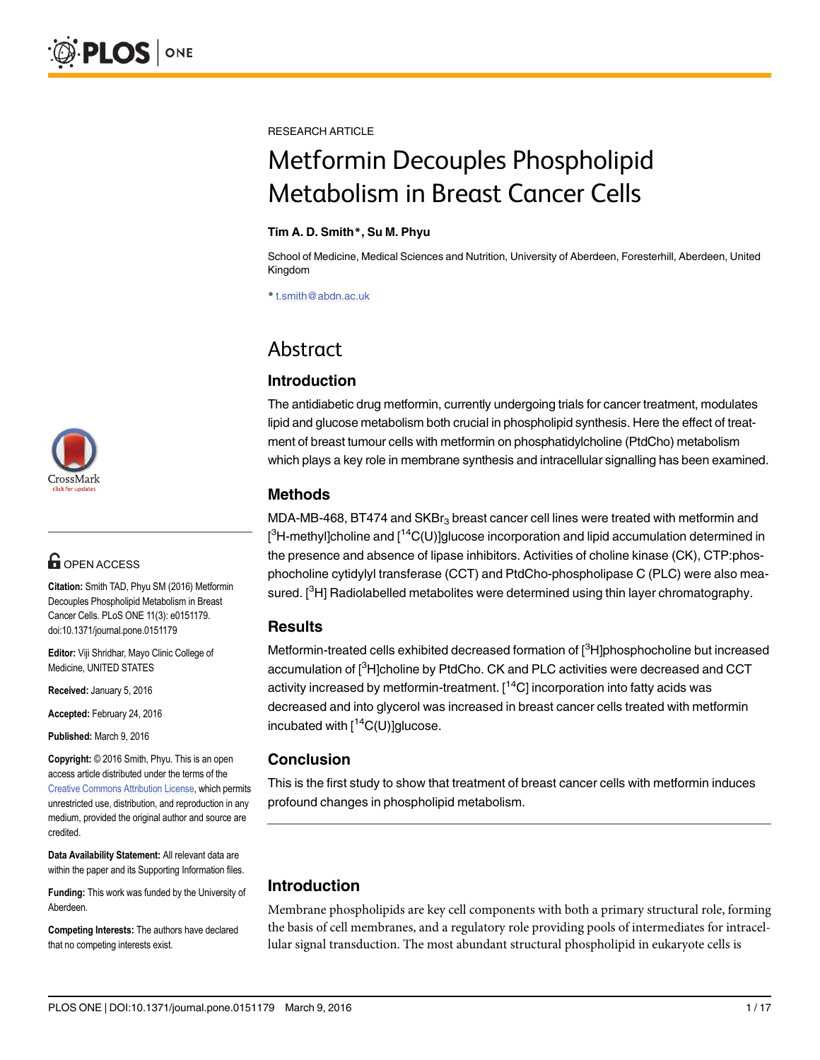

# **G** OPEN ACCESS

Citation: Smith TAD, Phyu SM (2016) Metformin Decouples Phospholipid Metabolism in Breast Cancer Cells. PLoS ONE 11(3): e0151179. doi:10.1371/journal.pone.0151179

Editor: Viji Shridhar, Mayo Clinic College of Medicine, UNITED STATES

Received: January 5, 2016

Accepted: February 24, 2016

Published: March 9, 2016

Copyright: © 2016 Smith, Phyu. This is an open access article distributed under the terms of the [Creative Commons Attribution License,](http://creativecommons.org/licenses/by/4.0/) which permits unrestricted use, distribution, and reproduction in any medium, provided the original author and source are credited.

Data Availability Statement: All relevant data are within the paper and its Supporting Information files.

Funding: This work was funded by the University of Aberdeen.

Competing Interests: The authors have declared that no competing interests exist.

RESEARCH ARTICLE

# Metformin Decouples Phospholipid Metabolism in Breast Cancer Cells

#### Tim A. D. Smith\*, Su M. Phyu

School of Medicine, Medical Sciences and Nutrition, University of Aberdeen, Foresterhill, Aberdeen, United Kingdom

\* t.smith@abdn.ac.uk

## Abstract

### Introduction

The antidiabetic drug metformin, currently undergoing trials for cancer treatment, modulates lipid and glucose metabolism both crucial in phospholipid synthesis. Here the effect of treatment of breast tumour cells with metformin on phosphatidylcholine (PtdCho) metabolism which plays a key role in membrane synthesis and intracellular signalling has been examined.

### Methods

MDA-MB-468, BT474 and SKB $r<sub>3</sub>$  breast cancer cell lines were treated with metformin and  $[^3$ H-methyl]choline and [ $^{14}$ C(U)]glucose incorporation and lipid accumulation determined in the presence and absence of lipase inhibitors. Activities of choline kinase (CK), CTP:phosphocholine cytidylyl transferase (CCT) and PtdCho-phospholipase C (PLC) were also measured. [<sup>3</sup>H] Radiolabelled metabolites were determined using thin layer chromatography.

### **Results**

Metformin-treated cells exhibited decreased formation of [<sup>3</sup>H]phosphocholine but increased accumulation of  $[{}^{3}$ H]choline by PtdCho. CK and PLC activities were decreased and CCT activity increased by metformin-treatment.  $[14C]$  incorporation into fatty acids was decreased and into glycerol was increased in breast cancer cells treated with metformin incubated with  $\int^{14}C(U)$ ]glucose.

### Conclusion

This is the first study to show that treatment of breast cancer cells with metformin induces profound changes in phospholipid metabolism.

### Introduction

Membrane phospholipids are key cell components with both a primary structural role, forming the basis of cell membranes, and a regulatory role providing pools of intermediates for intracellular signal transduction. The most abundant structural phospholipid in eukaryote cells is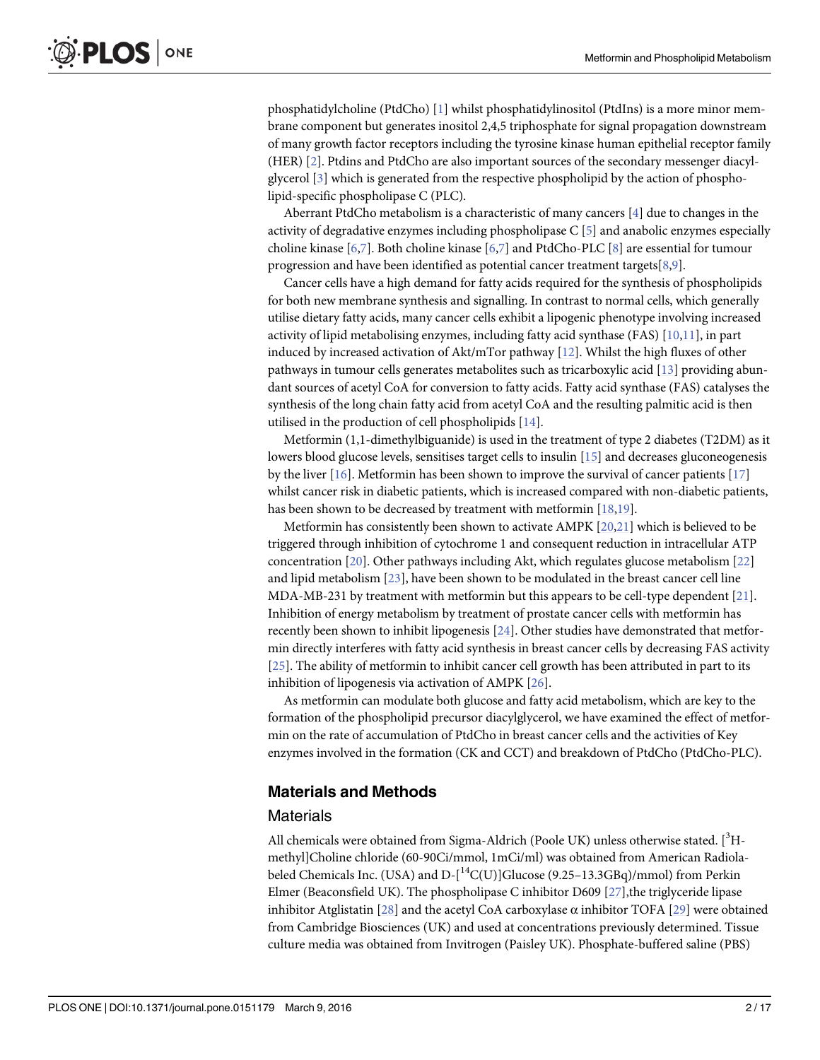<span id="page-1-0"></span>phosphatidylcholine (PtdCho) [[1](#page-13-0)] whilst phosphatidylinositol (PtdIns) is a more minor membrane component but generates inositol 2,4,5 triphosphate for signal propagation downstream of many growth factor receptors including the tyrosine kinase human epithelial receptor family (HER) [[2\]](#page-13-0). Ptdins and PtdCho are also important sources of the secondary messenger diacylglycerol [[3\]](#page-13-0) which is generated from the respective phospholipid by the action of phospholipid-specific phospholipase C (PLC).

Aberrant PtdCho metabolism is a characteristic of many cancers  $[4]$  $[4]$  due to changes in the activity of degradative enzymes including phospholipase C [[5](#page-13-0)] and anabolic enzymes especially choline kinase  $[6,7]$ . Both choline kinase  $[6,7]$  $[6,7]$  and PtdCho-PLC  $[8]$  $[8]$  are essential for tumour progression and have been identified as potential cancer treatment targets  $[8,9]$  $[8,9]$ .

Cancer cells have a high demand for fatty acids required for the synthesis of phospholipids for both new membrane synthesis and signalling. In contrast to normal cells, which generally utilise dietary fatty acids, many cancer cells exhibit a lipogenic phenotype involving increased activity of lipid metabolising enzymes, including fatty acid synthase (FAS) [[10,11](#page-14-0)], in part induced by increased activation of Akt/mTor pathway  $[12]$  $[12]$  $[12]$ . Whilst the high fluxes of other pathways in tumour cells generates metabolites such as tricarboxylic acid [[13](#page-14-0)] providing abundant sources of acetyl CoA for conversion to fatty acids. Fatty acid synthase (FAS) catalyses the synthesis of the long chain fatty acid from acetyl CoA and the resulting palmitic acid is then utilised in the production of cell phospholipids [[14](#page-14-0)].

Metformin (1,1-dimethylbiguanide) is used in the treatment of type 2 diabetes (T2DM) as it lowers blood glucose levels, sensitises target cells to insulin [[15](#page-14-0)] and decreases gluconeogenesis by the liver [[16](#page-14-0)]. Metformin has been shown to improve the survival of cancer patients [\[17\]](#page-14-0) whilst cancer risk in diabetic patients, which is increased compared with non-diabetic patients, has been shown to be decreased by treatment with metformin [\[18,19](#page-14-0)].

Metformin has consistently been shown to activate AMPK [[20](#page-14-0),[21](#page-14-0)] which is believed to be triggered through inhibition of cytochrome 1 and consequent reduction in intracellular ATP concentration [\[20\]](#page-14-0). Other pathways including Akt, which regulates glucose metabolism [[22](#page-14-0)] and lipid metabolism [[23](#page-14-0)], have been shown to be modulated in the breast cancer cell line MDA-MB-231 by treatment with metformin but this appears to be cell-type dependent [\[21\]](#page-14-0). Inhibition of energy metabolism by treatment of prostate cancer cells with metformin has recently been shown to inhibit lipogenesis [\[24](#page-14-0)]. Other studies have demonstrated that metformin directly interferes with fatty acid synthesis in breast cancer cells by decreasing FAS activity [\[25](#page-15-0)]. The ability of metformin to inhibit cancer cell growth has been attributed in part to its inhibition of lipogenesis via activation of AMPK [[26](#page-15-0)].

As metformin can modulate both glucose and fatty acid metabolism, which are key to the formation of the phospholipid precursor diacylglycerol, we have examined the effect of metformin on the rate of accumulation of PtdCho in breast cancer cells and the activities of Key enzymes involved in the formation (CK and CCT) and breakdown of PtdCho (PtdCho-PLC).

### Materials and Methods

#### **Materials**

All chemicals were obtained from Sigma-Aldrich (Poole UK) unless otherwise stated. [<sup>3</sup>Hmethyl]Choline chloride (60-90Ci/mmol, 1mCi/ml) was obtained from American Radiolabeled Chemicals Inc. (USA) and D-[<sup>14</sup>C(U)]Glucose (9.25-13.3GBq)/mmol) from Perkin Elmer (Beaconsfield UK). The phospholipase C inhibitor D609 [[27](#page-15-0)],the triglyceride lipase inhibitor Atglistatin [[28](#page-15-0)] and the acetyl CoA carboxylase  $\alpha$  inhibitor TOFA [[29](#page-15-0)] were obtained from Cambridge Biosciences (UK) and used at concentrations previously determined. Tissue culture media was obtained from Invitrogen (Paisley UK). Phosphate-buffered saline (PBS)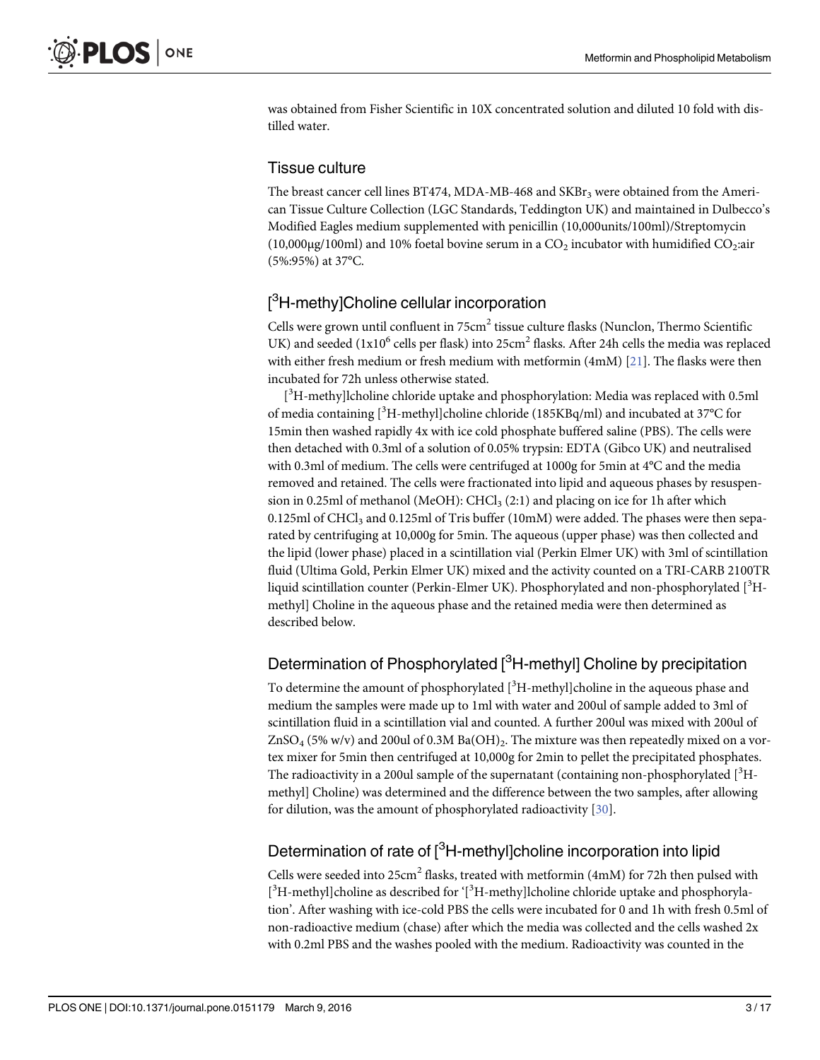<span id="page-2-0"></span>was obtained from Fisher Scientific in 10X concentrated solution and diluted 10 fold with distilled water.

### Tissue culture

The breast cancer cell lines BT474, MDA-MB-468 and SKBr<sub>3</sub> were obtained from the American Tissue Culture Collection (LGC Standards, Teddington UK) and maintained in Dulbecco's Modified Eagles medium supplemented with penicillin (10,000units/100ml)/Streptomycin  $(10,000\mu g/100\text{ml})$  and 10% foetal bovine serum in a CO<sub>2</sub> incubator with humidified CO<sub>2</sub>:air (5%:95%) at 37°C.

### [<sup>3</sup>H-methy]Choline cellular incorporation

Cells were grown until confluent in  $75 \text{cm}^2$  tissue culture flasks (Nunclon, Thermo Scientific UK) and seeded ( $1x10^6$  cells per flask) into 25cm<sup>2</sup> flasks. After 24h cells the media was replaced with either fresh medium or fresh medium with metformin (4mM) [[21](#page-14-0)]. The flasks were then incubated for 72h unless otherwise stated.

[<sup>3</sup>H-methy]lcholine chloride uptake and phosphorylation: Media was replaced with 0.5ml of media containing [<sup>3</sup>H-methyl]choline chloride (185KBq/ml) and incubated at 37°C for 15min then washed rapidly 4x with ice cold phosphate buffered saline (PBS). The cells were then detached with 0.3ml of a solution of 0.05% trypsin: EDTA (Gibco UK) and neutralised with 0.3ml of medium. The cells were centrifuged at 1000g for 5min at 4°C and the media removed and retained. The cells were fractionated into lipid and aqueous phases by resuspension in 0.25ml of methanol (MeOH):  $CHCl<sub>3</sub>(2:1)$  and placing on ice for 1h after which  $0.125$ ml of CHCl<sub>3</sub> and  $0.125$ ml of Tris buffer (10mM) were added. The phases were then separated by centrifuging at 10,000g for 5min. The aqueous (upper phase) was then collected and the lipid (lower phase) placed in a scintillation vial (Perkin Elmer UK) with 3ml of scintillation fluid (Ultima Gold, Perkin Elmer UK) mixed and the activity counted on a TRI-CARB 2100TR liquid scintillation counter (Perkin-Elmer UK). Phosphorylated and non-phosphorylated [<sup>3</sup>Hmethyl] Choline in the aqueous phase and the retained media were then determined as described below.

### Determination of Phosphorylated [<sup>3</sup>H-methyl] Choline by precipitation

To determine the amount of phosphorylated  $[^3H$ -methyl]choline in the aqueous phase and medium the samples were made up to 1ml with water and 200ul of sample added to 3ml of scintillation fluid in a scintillation vial and counted. A further 200ul was mixed with 200ul of  $ZnSO_4$  (5% w/v) and 200ul of 0.3M  $Ba(OH)_2$ . The mixture was then repeatedly mixed on a vortex mixer for 5min then centrifuged at 10,000g for 2min to pellet the precipitated phosphates. The radioactivity in a 200ul sample of the supernatant (containing non-phosphorylated [<sup>3</sup>Hmethyl] Choline) was determined and the difference between the two samples, after allowing for dilution, was the amount of phosphorylated radioactivity [[30\]](#page-15-0).

### Determination of rate of [<sup>3</sup>H-methyl]choline incorporation into lipid

Cells were seeded into  $25 \text{cm}^2$  flasks, treated with metformin (4mM) for 72h then pulsed with [<sup>3</sup>H-methyl]choline as described for '[<sup>3</sup>H-methy]lcholine chloride uptake and phosphorylation'. After washing with ice-cold PBS the cells were incubated for 0 and 1h with fresh 0.5ml of non-radioactive medium (chase) after which the media was collected and the cells washed 2x with 0.2ml PBS and the washes pooled with the medium. Radioactivity was counted in the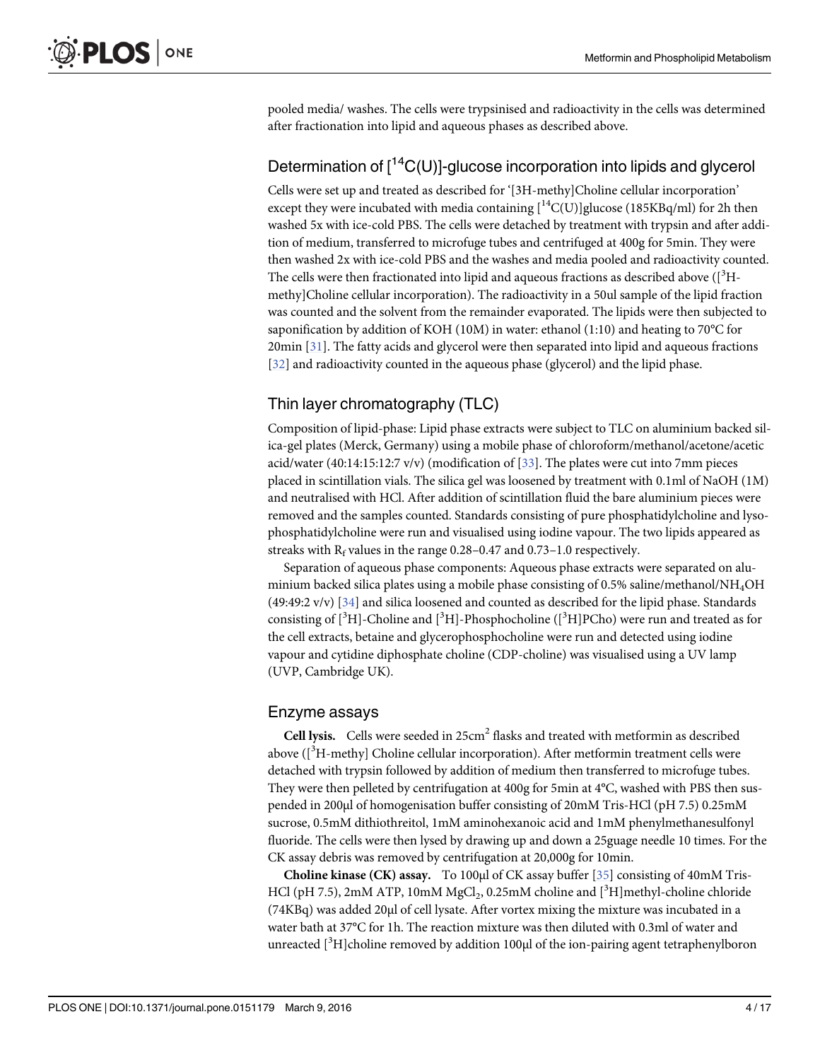<span id="page-3-0"></span>pooled media/ washes. The cells were trypsinised and radioactivity in the cells was determined after fractionation into lipid and aqueous phases as described above.

### Determination of  $[14C(U)]$ -glucose incorporation into lipids and glycerol

Cells were set up and treated as described for '[3H-methy]Choline cellular incorporation' except they were incubated with media containing  $[{}^{14}C(U)]$ glucose (185KBq/ml) for 2h then washed 5x with ice-cold PBS. The cells were detached by treatment with trypsin and after addition of medium, transferred to microfuge tubes and centrifuged at 400g for 5min. They were then washed 2x with ice-cold PBS and the washes and media pooled and radioactivity counted. The cells were then fractionated into lipid and aqueous fractions as described above  $\rm (^3H$ methy]Choline cellular incorporation). The radioactivity in a 50ul sample of the lipid fraction was counted and the solvent from the remainder evaporated. The lipids were then subjected to saponification by addition of KOH (10M) in water: ethanol (1:10) and heating to 70°C for 20min [\[31](#page-15-0)]. The fatty acids and glycerol were then separated into lipid and aqueous fractions [\[32](#page-15-0)] and radioactivity counted in the aqueous phase (glycerol) and the lipid phase.

### Thin layer chromatography (TLC)

Composition of lipid-phase: Lipid phase extracts were subject to TLC on aluminium backed silica-gel plates (Merck, Germany) using a mobile phase of chloroform/methanol/acetone/acetic acid/water (40:14:15:12:7 v/v) (modification of [[33](#page-15-0)]. The plates were cut into 7mm pieces placed in scintillation vials. The silica gel was loosened by treatment with 0.1ml of NaOH (1M) and neutralised with HCl. After addition of scintillation fluid the bare aluminium pieces were removed and the samples counted. Standards consisting of pure phosphatidylcholine and lysophosphatidylcholine were run and visualised using iodine vapour. The two lipids appeared as streaks with  $R_f$  values in the range 0.28–0.47 and 0.73–1.0 respectively.

Separation of aqueous phase components: Aqueous phase extracts were separated on aluminium backed silica plates using a mobile phase consisting of 0.5% saline/methanol/NH4OH (49:49:2 v/v)  $\left[34\right]$  $\left[34\right]$  $\left[34\right]$  and silica loosened and counted as described for the lipid phase. Standards consisting of  $[^{3}H]$ -Choline and  $[^{3}H]$ -Phosphocholine  $([^{3}H]$ PCho) were run and treated as for the cell extracts, betaine and glycerophosphocholine were run and detected using iodine vapour and cytidine diphosphate choline (CDP-choline) was visualised using a UV lamp (UVP, Cambridge UK).

#### Enzyme assays

Cell lysis. Cells were seeded in 25cm<sup>2</sup> flasks and treated with metformin as described above ( $[^{3}$ H-methy] Choline cellular incorporation). After metformin treatment cells were detached with trypsin followed by addition of medium then transferred to microfuge tubes. They were then pelleted by centrifugation at 400g for 5min at 4°C, washed with PBS then suspended in 200μl of homogenisation buffer consisting of 20mM Tris-HCl (pH 7.5) 0.25mM sucrose, 0.5mM dithiothreitol, 1mM aminohexanoic acid and 1mM phenylmethanesulfonyl fluoride. The cells were then lysed by drawing up and down a 25guage needle 10 times. For the CK assay debris was removed by centrifugation at 20,000g for 10min.

Choline kinase (CK) assay. To 100μl of CK assay buffer [\[35](#page-15-0)] consisting of 40mM Tris-HCl (pH 7.5), 2mM ATP, 10mM MgCl<sub>2</sub>, 0.25mM choline and  $[^3H]$ methyl-choline chloride (74KBq) was added 20μl of cell lysate. After vortex mixing the mixture was incubated in a water bath at 37°C for 1h. The reaction mixture was then diluted with 0.3ml of water and unreacted [<sup>3</sup>H]choline removed by addition 100µl of the ion-pairing agent tetraphenylboron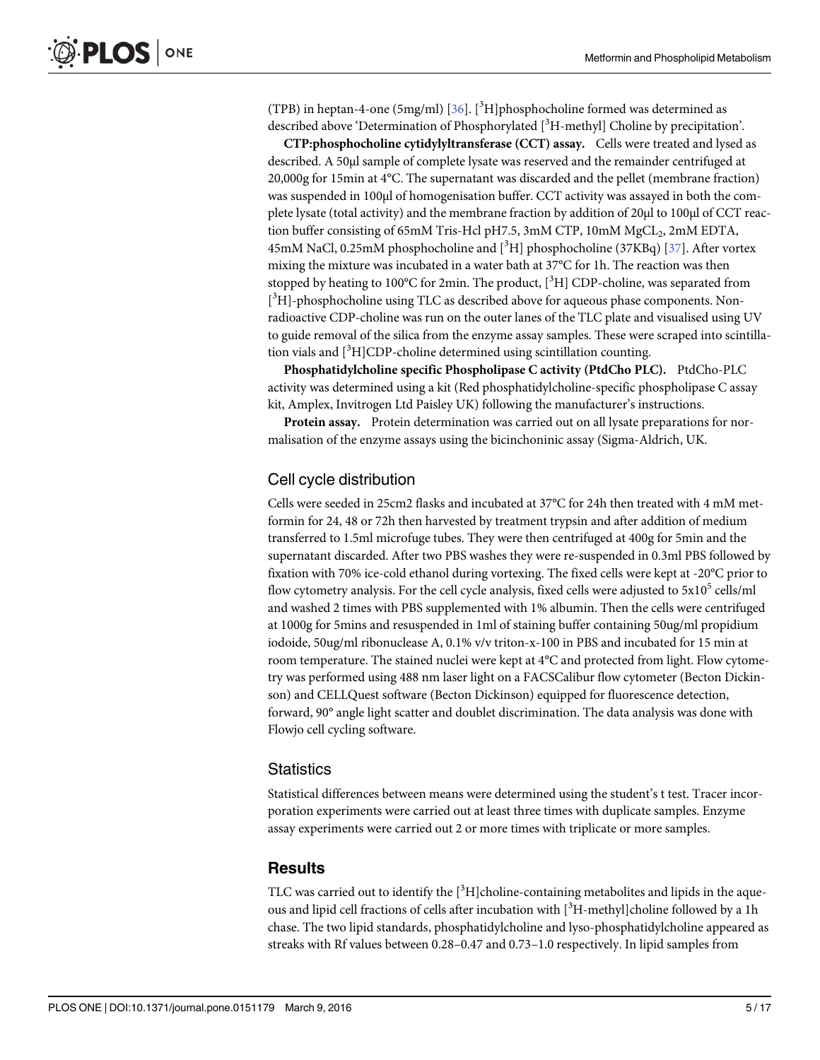<span id="page-4-0"></span>(TPB) in heptan-4-one (5mg/ml) [\[36\]](#page-15-0). [<sup>3</sup>H]phosphocholine formed was determined as described above 'Determination of Phosphorylated [<sup>3</sup>H-methyl] Choline by precipitation'.

CTP:phosphocholine cytidylyltransferase (CCT) assay. Cells were treated and lysed as described. A 50μl sample of complete lysate was reserved and the remainder centrifuged at 20,000g for 15min at 4°C. The supernatant was discarded and the pellet (membrane fraction) was suspended in 100μl of homogenisation buffer. CCT activity was assayed in both the complete lysate (total activity) and the membrane fraction by addition of 20μl to 100μl of CCT reaction buffer consisting of 65mM Tris-Hcl pH7.5, 3mM CTP, 10mM MgCL<sub>2</sub>, 2mM EDTA,  $45 \text{mM}$  NaCl, 0.25mM phosphocholine and  $[^3\mathrm{H}]$  phosphocholine (37KBq)  $[37]$ . After vortex mixing the mixture was incubated in a water bath at 37°C for 1h. The reaction was then stopped by heating to 100°C for 2min. The product,  $[^3H]$  CDP-choline, was separated from [<sup>3</sup>H]-phosphocholine using TLC as described above for aqueous phase components. Nonradioactive CDP-choline was run on the outer lanes of the TLC plate and visualised using UV to guide removal of the silica from the enzyme assay samples. These were scraped into scintillation vials and  $[^{3}H]$ CDP-choline determined using scintillation counting.

Phosphatidylcholine specific Phospholipase C activity (PtdCho PLC). PtdCho-PLC activity was determined using a kit (Red phosphatidylcholine-specific phospholipase C assay kit, Amplex, Invitrogen Ltd Paisley UK) following the manufacturer's instructions.

Protein assay. Protein determination was carried out on all lysate preparations for normalisation of the enzyme assays using the bicinchoninic assay (Sigma-Aldrich, UK.

### Cell cycle distribution

Cells were seeded in 25cm2 flasks and incubated at 37°C for 24h then treated with 4 mM metformin for 24, 48 or 72h then harvested by treatment trypsin and after addition of medium transferred to 1.5ml microfuge tubes. They were then centrifuged at 400g for 5min and the supernatant discarded. After two PBS washes they were re-suspended in 0.3ml PBS followed by fixation with 70% ice-cold ethanol during vortexing. The fixed cells were kept at -20°C prior to flow cytometry analysis. For the cell cycle analysis, fixed cells were adjusted to  $5x10<sup>5</sup>$  cells/ml and washed 2 times with PBS supplemented with 1% albumin. Then the cells were centrifuged at 1000g for 5mins and resuspended in 1ml of staining buffer containing 50ug/ml propidium iodoide, 50ug/ml ribonuclease A, 0.1% v/v triton-x-100 in PBS and incubated for 15 min at room temperature. The stained nuclei were kept at 4°C and protected from light. Flow cytometry was performed using 488 nm laser light on a FACSCalibur flow cytometer (Becton Dickinson) and CELLQuest software (Becton Dickinson) equipped for fluorescence detection, forward, 90° angle light scatter and doublet discrimination. The data analysis was done with Flowjo cell cycling software.

#### **Statistics**

Statistical differences between means were determined using the student's t test. Tracer incorporation experiments were carried out at least three times with duplicate samples. Enzyme assay experiments were carried out 2 or more times with triplicate or more samples.

#### **Results**

TLC was carried out to identify the  $[^3H]$ choline-containing metabolites and lipids in the aqueous and lipid cell fractions of cells after incubation with [<sup>3</sup>H-methyl]choline followed by a 1h chase. The two lipid standards, phosphatidylcholine and lyso-phosphatidylcholine appeared as streaks with Rf values between 0.28–0.47 and 0.73–1.0 respectively. In lipid samples from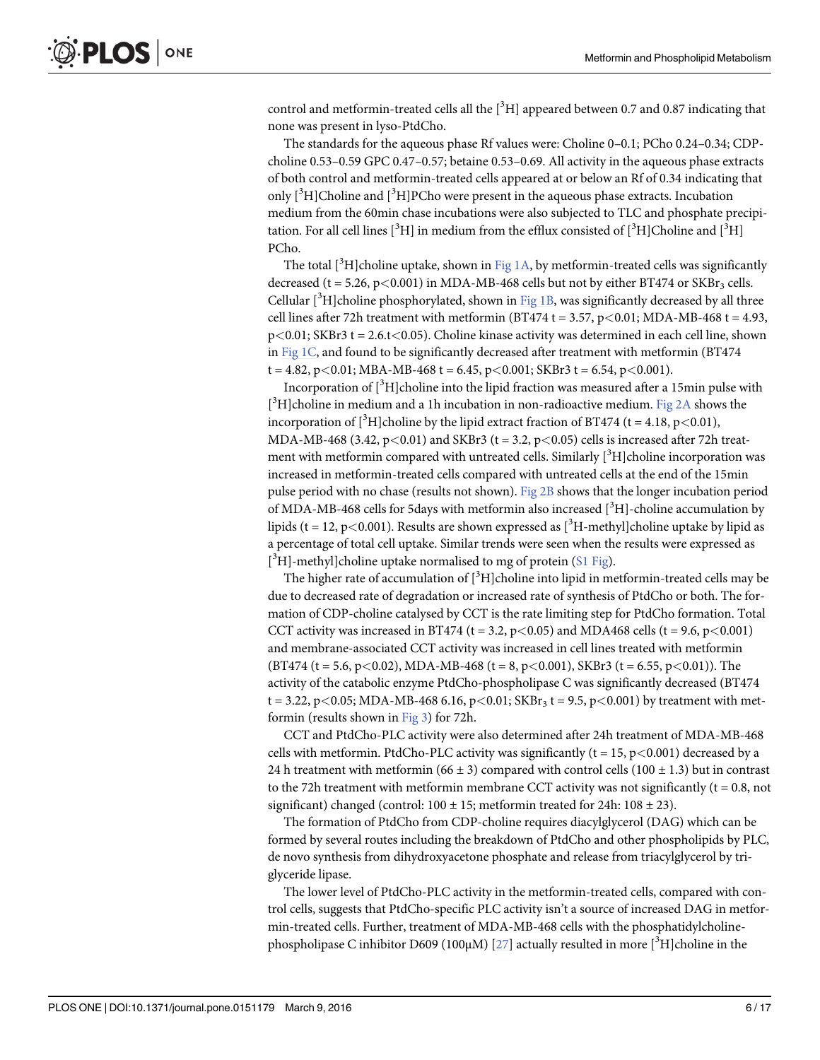<span id="page-5-0"></span>control and metformin-treated cells all the  $[^3H]$  appeared between 0.7 and 0.87 indicating that none was present in lyso-PtdCho.

The standards for the aqueous phase Rf values were: Choline 0–0.1; PCho 0.24–0.34; CDPcholine 0.53–0.59 GPC 0.47–0.57; betaine 0.53–0.69. All activity in the aqueous phase extracts of both control and metformin-treated cells appeared at or below an Rf of 0.34 indicating that only [<sup>3</sup>H]Choline and [<sup>3</sup>H]PCho were present in the aqueous phase extracts. Incubation medium from the 60min chase incubations were also subjected to TLC and phosphate precipitation. For all cell lines  $[^{3}H]$  in medium from the efflux consisted of  $[^{3}H]$ Choline and  $[^{3}H]$ PCho.

The total [ ${}^{3}$ H]choline uptake, shown in [Fig 1A,](#page-6-0) by metformin-treated cells was significantly decreased (t = 5.26, p<0.001) in MDA-MB-468 cells but not by either BT474 or  $SKBr_3$  cells. Cellular [<sup>3</sup>H]choline phosphorylated, shown in [Fig 1B,](#page-6-0) was significantly decreased by all three cell lines after 72h treatment with metformin (BT474 t = 3.57,  $p < 0.01$ ; MDA-MB-468 t = 4.93, p<0.01; SKBr3 t = 2.6.t<0.05). Choline kinase activity was determined in each cell line, shown in Fig  $1C$ , and found to be significantly decreased after treatment with metformin (BT474)  $t = 4.82$ ,  $p < 0.01$ ; MBA-MB-468  $t = 6.45$ ,  $p < 0.001$ ; SKBr3  $t = 6.54$ ,  $p < 0.001$ ).

Incorporation of  $[^3\mathrm{H}]$ choline into the lipid fraction was measured after a 15min pulse with [ $3$ H]choline in medium and a 1h incubation in non-radioactive medium. [Fig 2A](#page-7-0) shows the incorporation of  $[^3H]$ choline by the lipid extract fraction of BT474 (t = 4.18, p<0.01), MDA-MB-468 (3.42,  $p<0.01$ ) and SKBr3 (t = 3.2,  $p<0.05$ ) cells is increased after 72h treatment with metformin compared with untreated cells. Similarly [<sup>3</sup>H]choline incorporation was increased in metformin-treated cells compared with untreated cells at the end of the 15min pulse period with no chase (results not shown). [Fig 2B](#page-7-0) shows that the longer incubation period of MDA-MB-468 cells for 5days with metformin also increased [<sup>3</sup>H]-choline accumulation by lipids (t = 12, p<0.001). Results are shown expressed as  $[^3H$ -methyl]choline uptake by lipid as a percentage of total cell uptake. Similar trends were seen when the results were expressed as  $[^3H]$ -methyl]choline uptake normalised to mg of protein [\(S1 Fig](#page-13-0)).

The higher rate of accumulation of  $[^3H]$ choline into lipid in metformin-treated cells may be due to decreased rate of degradation or increased rate of synthesis of PtdCho or both. The formation of CDP-choline catalysed by CCT is the rate limiting step for PtdCho formation. Total CCT activity was increased in BT474 (t = 3.2, p < 0.05) and MDA468 cells (t = 9.6, p < 0.001) and membrane-associated CCT activity was increased in cell lines treated with metformin (BT474 (t = 5.6, p < 0.02), MDA-MB-468 (t = 8, p < 0.001), SKBr3 (t = 6.55, p < 0.01)). The activity of the catabolic enzyme PtdCho-phospholipase C was significantly decreased (BT474 t = 3.22, p < 0.05; MDA-MB-468 6.16, p < 0.01; SKBr<sub>3</sub> t = 9.5, p < 0.001) by treatment with metformin (results shown in [Fig 3](#page-8-0)) for 72h.

CCT and PtdCho-PLC activity were also determined after 24h treatment of MDA-MB-468 cells with metformin. PtdCho-PLC activity was significantly ( $t = 15$ ,  $p < 0.001$ ) decreased by a 24 h treatment with metformin (66  $\pm$  3) compared with control cells (100  $\pm$  1.3) but in contrast to the 72h treatment with metformin membrane CCT activity was not significantly ( $t = 0.8$ , not significant) changed (control:  $100 \pm 15$ ; metformin treated for 24h:  $108 \pm 23$ ).

The formation of PtdCho from CDP-choline requires diacylglycerol (DAG) which can be formed by several routes including the breakdown of PtdCho and other phospholipids by PLC, de novo synthesis from dihydroxyacetone phosphate and release from triacylglycerol by triglyceride lipase.

The lower level of PtdCho-PLC activity in the metformin-treated cells, compared with control cells, suggests that PtdCho-specific PLC activity isn't a source of increased DAG in metformin-treated cells. Further, treatment of MDA-MB-468 cells with the phosphatidylcholinephospholipase C inhibitor D609 (100 $\mu$ M) [\[27](#page-15-0)] actually resulted in more [<sup>3</sup>H]choline in the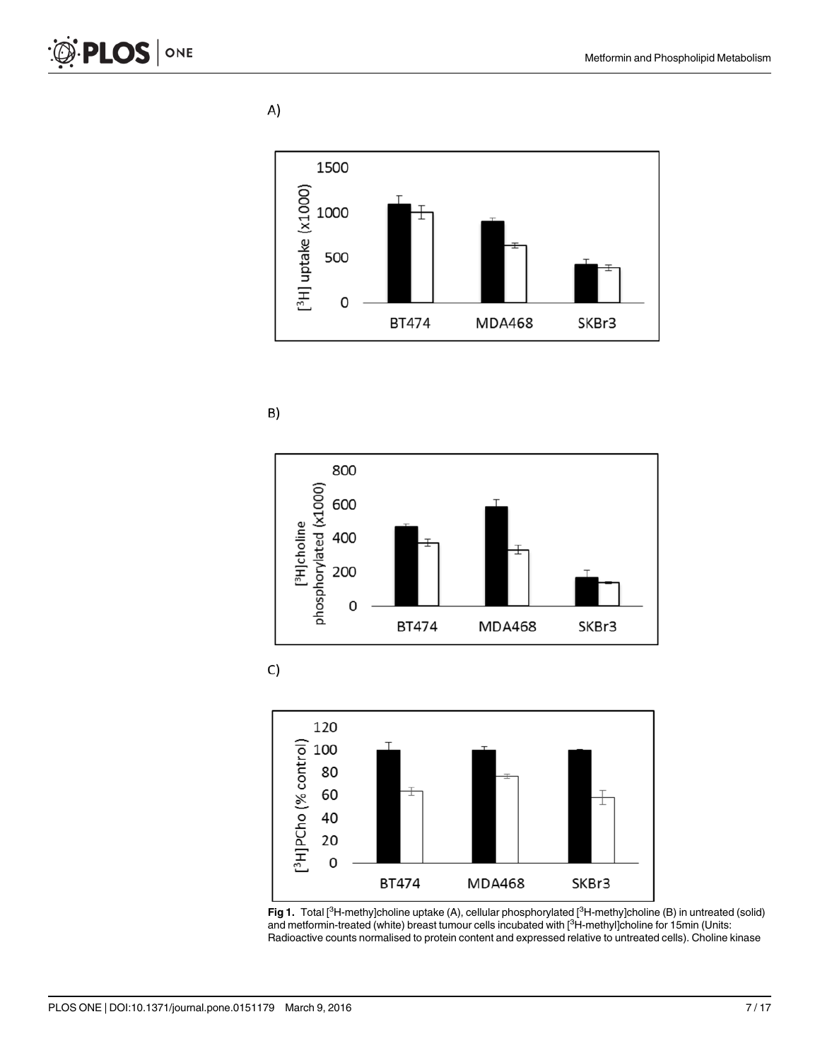A)

<span id="page-6-0"></span>





C)



[Fig 1.](#page-5-0) Total [<sup>3</sup>H-methy]choline uptake (A), cellular phosphorylated [<sup>3</sup>H-methy]choline (B) in untreated (solid) and metformin-treated (white) breast tumour cells incubated with [<sup>3</sup>H-methyl]choline for 15min (Units: Radioactive counts normalised to protein content and expressed relative to untreated cells). Choline kinase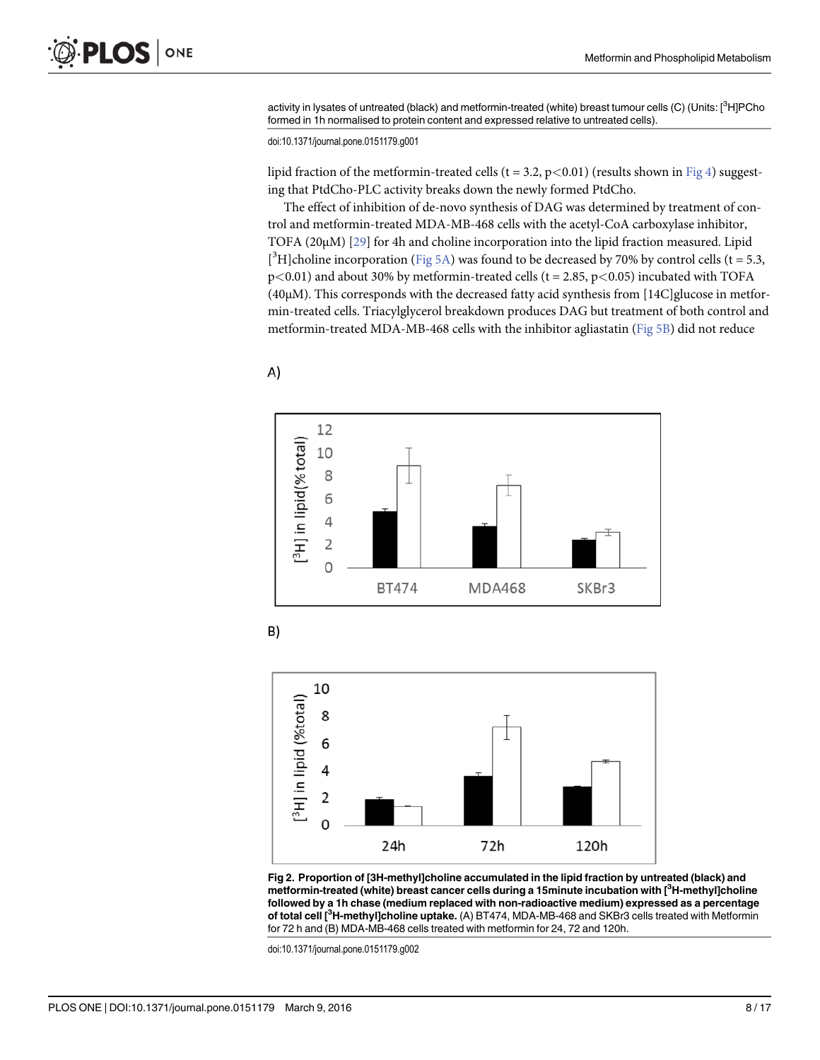<span id="page-7-0"></span>activity in lysates of untreated (black) and metformin-treated (white) breast tumour cells (C) (Units: [<sup>3</sup>H]PCho formed in 1h normalised to protein content and expressed relative to untreated cells).

doi:10.1371/journal.pone.0151179.g001

lipid fraction of the metformin-treated cells ( $t = 3.2$ ,  $p < 0.01$ ) (results shown in [Fig 4\)](#page-9-0) suggesting that PtdCho-PLC activity breaks down the newly formed PtdCho.

The effect of inhibition of de-novo synthesis of DAG was determined by treatment of control and metformin-treated MDA-MB-468 cells with the acetyl-CoA carboxylase inhibitor, TOFA (20μM) [[29\]](#page-15-0) for 4h and choline incorporation into the lipid fraction measured. Lipid [<sup>3</sup>H]choline incorporation [\(Fig 5A\)](#page-10-0) was found to be decreased by 70% by control cells (t = 5.3,  $p<0.01$ ) and about 30% by metformin-treated cells (t = 2.85,  $p<0.05$ ) incubated with TOFA (40μM). This corresponds with the decreased fatty acid synthesis from [14C]glucose in metformin-treated cells. Triacylglycerol breakdown produces DAG but treatment of both control and metformin-treated MDA-MB-468 cells with the inhibitor agliastatin [\(Fig 5B\)](#page-10-0) did not reduce









[Fig 2. P](#page-5-0)roportion of [3H-methyl]choline accumulated in the lipid fraction by untreated (black) and metformin-treated (white) breast cancer cells during a 15minute incubation with [<sup>3</sup>H-methyl]choline followed by a 1h chase (medium replaced with non-radioactive medium) expressed as a percentage of total cell [<sup>3</sup>H-methyl]choline uptake. (A) BT474, MDA-MB-468 and SKBr3 cells treated with Metformin for 72 h and (B) MDA-MB-468 cells treated with metformin for 24, 72 and 120h.

doi:10.1371/journal.pone.0151179.g002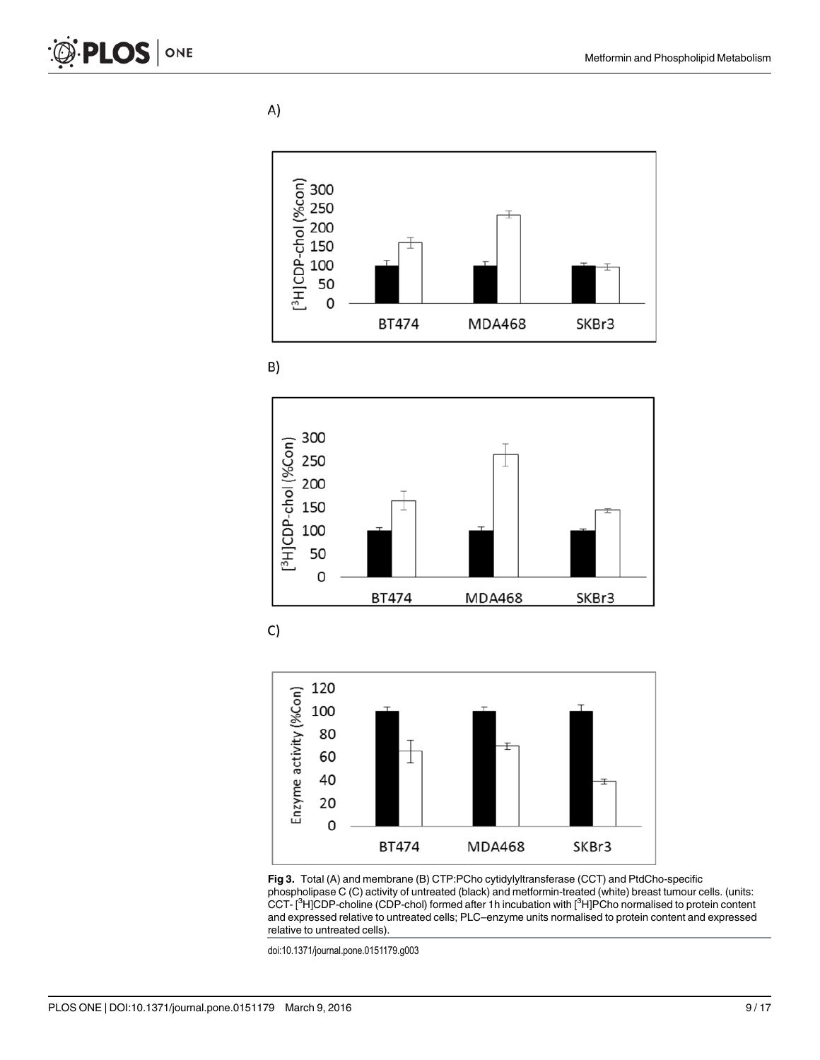<span id="page-8-0"></span>A)











[Fig 3.](#page-5-0) Total (A) and membrane (B) CTP:PCho cytidylyltransferase (CCT) and PtdCho-specific phospholipase C (C) activity of untreated (black) and metformin-treated (white) breast tumour cells. (units: CCT- [<sup>3</sup>H]CDP-choline (CDP-chol) formed after 1h incubation with [<sup>3</sup>H]PCho normalised to protein content and expressed relative to untreated cells; PLC–enzyme units normalised to protein content and expressed relative to untreated cells).

doi:10.1371/journal.pone.0151179.g003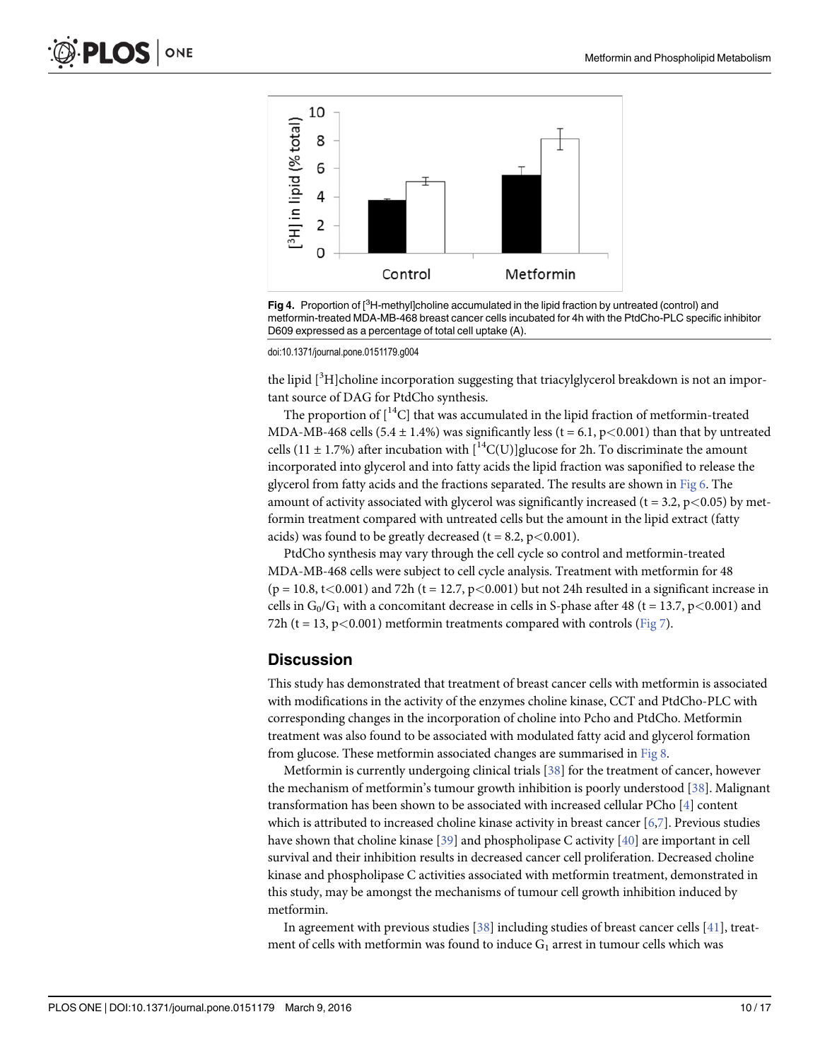<span id="page-9-0"></span>

[Fig 4.](#page-7-0) Proportion of [<sup>3</sup>H-methyl]choline accumulated in the lipid fraction by untreated (control) and metformin-treated MDA-MB-468 breast cancer cells incubated for 4h with the PtdCho-PLC specific inhibitor D609 expressed as a percentage of total cell uptake (A).

doi:10.1371/journal.pone.0151179.g004

the lipid [<sup>3</sup>H]choline incorporation suggesting that triacylglycerol breakdown is not an important source of DAG for PtdCho synthesis.

The proportion of  $\left[{}^{14}C\right]$  that was accumulated in the lipid fraction of metformin-treated MDA-MB-468 cells (5.4  $\pm$  1.4%) was significantly less (t = 6.1, p<0.001) than that by untreated cells (11  $\pm$  1.7%) after incubation with  $\binom{14}{\text{C}}$  [U] glucose for 2h. To discriminate the amount incorporated into glycerol and into fatty acids the lipid fraction was saponified to release the glycerol from fatty acids and the fractions separated. The results are shown in [Fig 6](#page-11-0). The amount of activity associated with glycerol was significantly increased ( $t = 3.2$ ,  $p < 0.05$ ) by metformin treatment compared with untreated cells but the amount in the lipid extract (fatty acids) was found to be greatly decreased ( $t = 8.2$ ,  $p < 0.001$ ).

PtdCho synthesis may vary through the cell cycle so control and metformin-treated MDA-MB-468 cells were subject to cell cycle analysis. Treatment with metformin for 48  $(p = 10.8, t < 0.001)$  and 72h  $(t = 12.7, p < 0.001)$  but not 24h resulted in a significant increase in cells in  $G_0/G_1$  with a concomitant decrease in cells in S-phase after 48 (t = 13.7, p<0.001) and 72h (t = 13, p < 0.001) metformin treatments compared with controls ( $Fig 7$ ).

#### **Discussion**

This study has demonstrated that treatment of breast cancer cells with metformin is associated with modifications in the activity of the enzymes choline kinase, CCT and PtdCho-PLC with corresponding changes in the incorporation of choline into Pcho and PtdCho. Metformin treatment was also found to be associated with modulated fatty acid and glycerol formation from glucose. These metformin associated changes are summarised in [Fig 8.](#page-12-0)

Metformin is currently undergoing clinical trials [\[38\]](#page-15-0) for the treatment of cancer, however the mechanism of metformin's tumour growth inhibition is poorly understood  $[38]$  $[38]$  $[38]$ . Malignant transformation has been shown to be associated with increased cellular PCho [\[4](#page-13-0)] content which is attributed to increased choline kinase activity in breast cancer [\[6,7\]](#page-14-0). Previous studies have shown that choline kinase  $[39]$  and phospholipase C activity  $[40]$  $[40]$  are important in cell survival and their inhibition results in decreased cancer cell proliferation. Decreased choline kinase and phospholipase C activities associated with metformin treatment, demonstrated in this study, may be amongst the mechanisms of tumour cell growth inhibition induced by metformin.

In agreement with previous studies  $[38]$  including studies of breast cancer cells  $[41]$ , treatment of cells with metformin was found to induce  $G_1$  arrest in tumour cells which was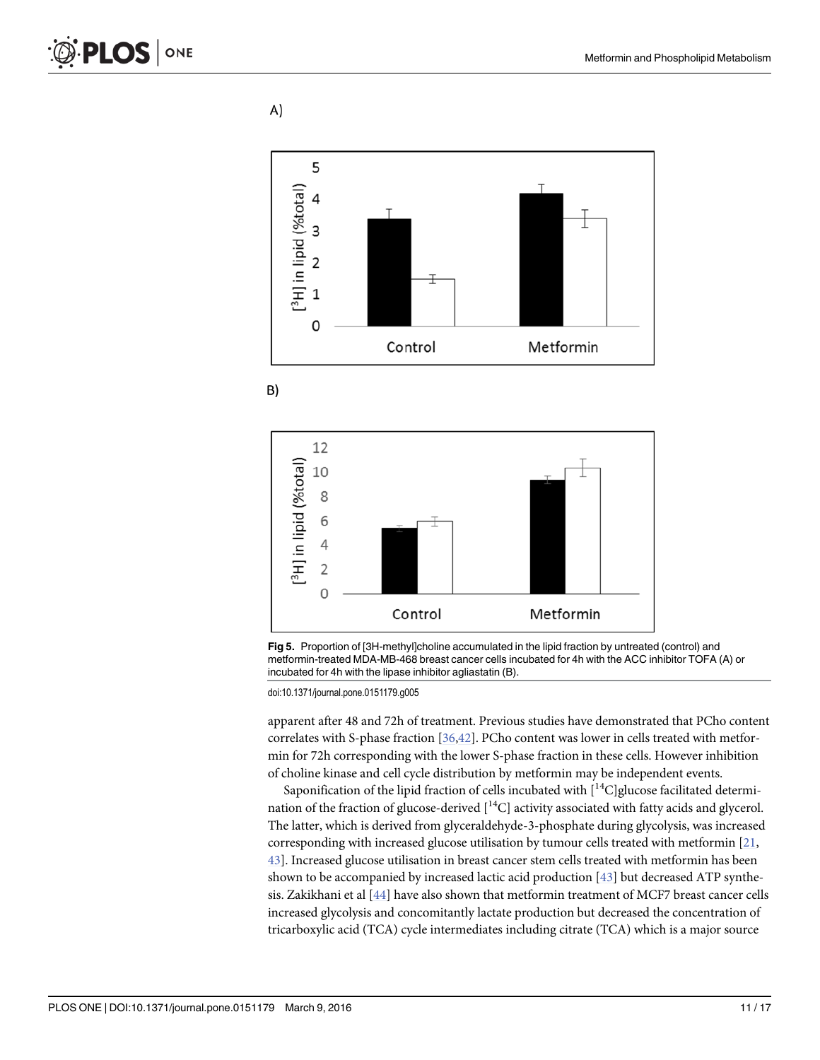A)

<span id="page-10-0"></span>

$$
\mathsf{B}
$$





doi:10.1371/journal.pone.0151179.g005

apparent after 48 and 72h of treatment. Previous studies have demonstrated that PCho content correlates with S-phase fraction [\[36,42\]](#page-15-0). PCho content was lower in cells treated with metformin for 72h corresponding with the lower S-phase fraction in these cells. However inhibition of choline kinase and cell cycle distribution by metformin may be independent events.

Saponification of the lipid fraction of cells incubated with  $\lceil {^{14}C} \rceil$ glucose facilitated determination of the fraction of glucose-derived  $[$ <sup>14</sup>C] activity associated with fatty acids and glycerol. The latter, which is derived from glyceraldehyde-3-phosphate during glycolysis, was increased corresponding with increased glucose utilisation by tumour cells treated with metformin [\[21,](#page-14-0) [43\]](#page-15-0). Increased glucose utilisation in breast cancer stem cells treated with metformin has been shown to be accompanied by increased lactic acid production  $[43]$  but decreased ATP synthesis. Zakikhani et al [[44](#page-15-0)] have also shown that metformin treatment of MCF7 breast cancer cells increased glycolysis and concomitantly lactate production but decreased the concentration of tricarboxylic acid (TCA) cycle intermediates including citrate (TCA) which is a major source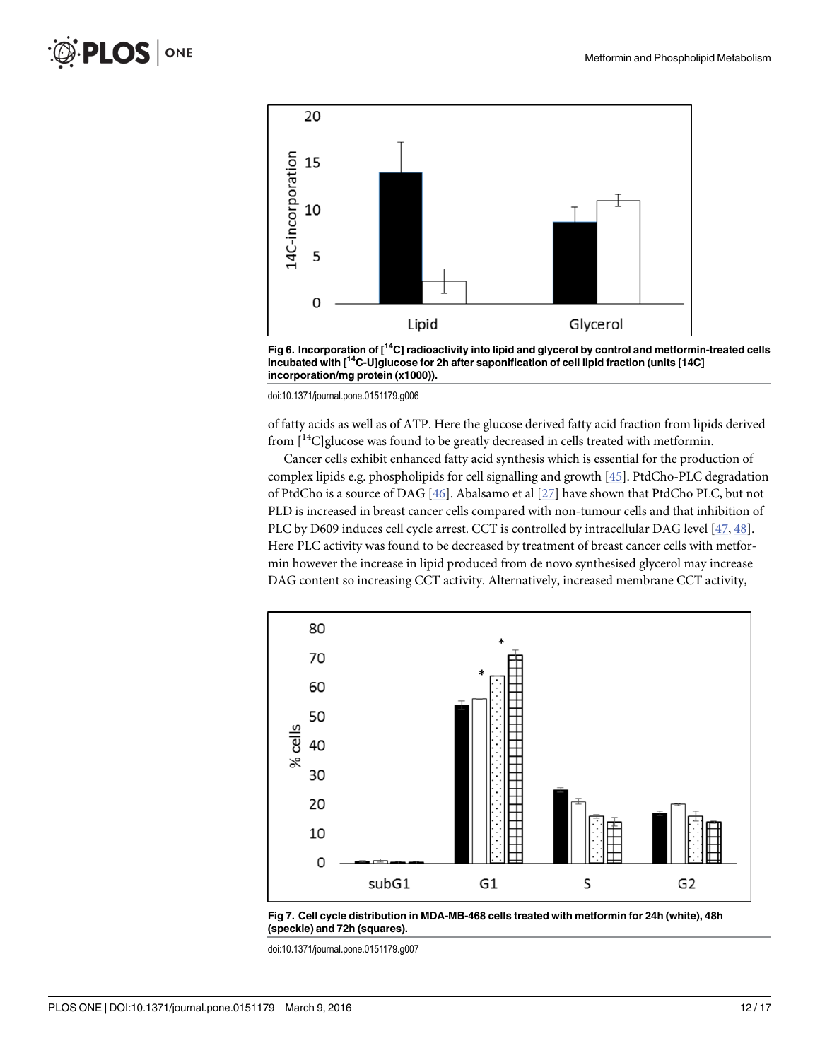<span id="page-11-0"></span>

[Fig 6. I](#page-9-0)ncorporation of  $I^{14}C$  radioactivity into lipid and glycerol by control and metformin-treated cells incubated with [14C-U]glucose for 2h after saponification of cell lipid fraction (units [14C] incorporation/mg protein (x1000)).

doi:10.1371/journal.pone.0151179.g006

of fatty acids as well as of ATP. Here the glucose derived fatty acid fraction from lipids derived from  $[14C]$ glucose was found to be greatly decreased in cells treated with metformin.

Cancer cells exhibit enhanced fatty acid synthesis which is essential for the production of complex lipids e.g. phospholipids for cell signalling and growth [\[45\]](#page-15-0). PtdCho-PLC degradation of PtdCho is a source of DAG [\[46\]](#page-16-0). Abalsamo et al [[27](#page-15-0)] have shown that PtdCho PLC, but not PLD is increased in breast cancer cells compared with non-tumour cells and that inhibition of PLC by D609 induces cell cycle arrest. CCT is controlled by intracellular DAG level [\[47,](#page-16-0) [48\]](#page-16-0). Here PLC activity was found to be decreased by treatment of breast cancer cells with metformin however the increase in lipid produced from de novo synthesised glycerol may increase DAG content so increasing CCT activity. Alternatively, increased membrane CCT activity,





doi:10.1371/journal.pone.0151179.g007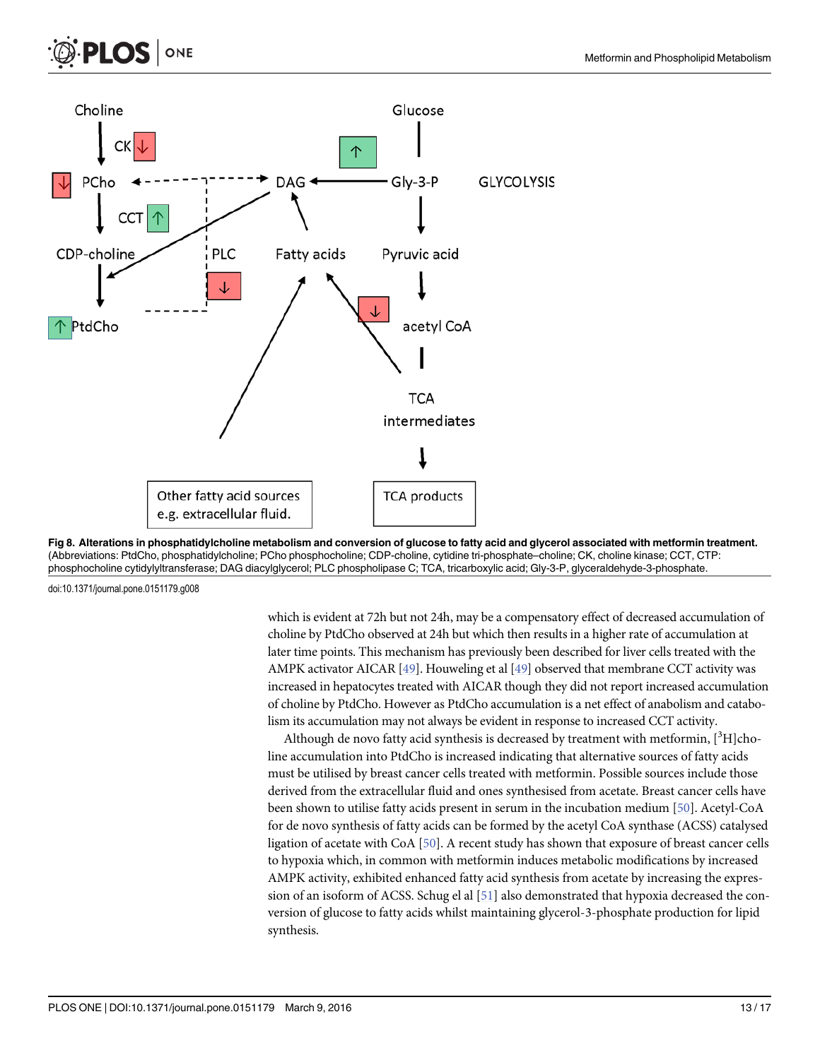<span id="page-12-0"></span>





doi:10.1371/journal.pone.0151179.g008

which is evident at 72h but not 24h, may be a compensatory effect of decreased accumulation of choline by PtdCho observed at 24h but which then results in a higher rate of accumulation at later time points. This mechanism has previously been described for liver cells treated with the AMPK activator AICAR  $[49]$  $[49]$  $[49]$ . Houweling et al  $[49]$  observed that membrane CCT activity was increased in hepatocytes treated with AICAR though they did not report increased accumulation of choline by PtdCho. However as PtdCho accumulation is a net effect of anabolism and catabolism its accumulation may not always be evident in response to increased CCT activity.

Although de novo fatty acid synthesis is decreased by treatment with metformin, [<sup>3</sup>H]choline accumulation into PtdCho is increased indicating that alternative sources of fatty acids must be utilised by breast cancer cells treated with metformin. Possible sources include those derived from the extracellular fluid and ones synthesised from acetate. Breast cancer cells have been shown to utilise fatty acids present in serum in the incubation medium [[50](#page-16-0)]. Acetyl-CoA for de novo synthesis of fatty acids can be formed by the acetyl CoA synthase (ACSS) catalysed ligation of acetate with CoA [[50\]](#page-16-0). A recent study has shown that exposure of breast cancer cells to hypoxia which, in common with metformin induces metabolic modifications by increased AMPK activity, exhibited enhanced fatty acid synthesis from acetate by increasing the expression of an isoform of ACSS. Schug el al [\[51\]](#page-16-0) also demonstrated that hypoxia decreased the conversion of glucose to fatty acids whilst maintaining glycerol-3-phosphate production for lipid synthesis.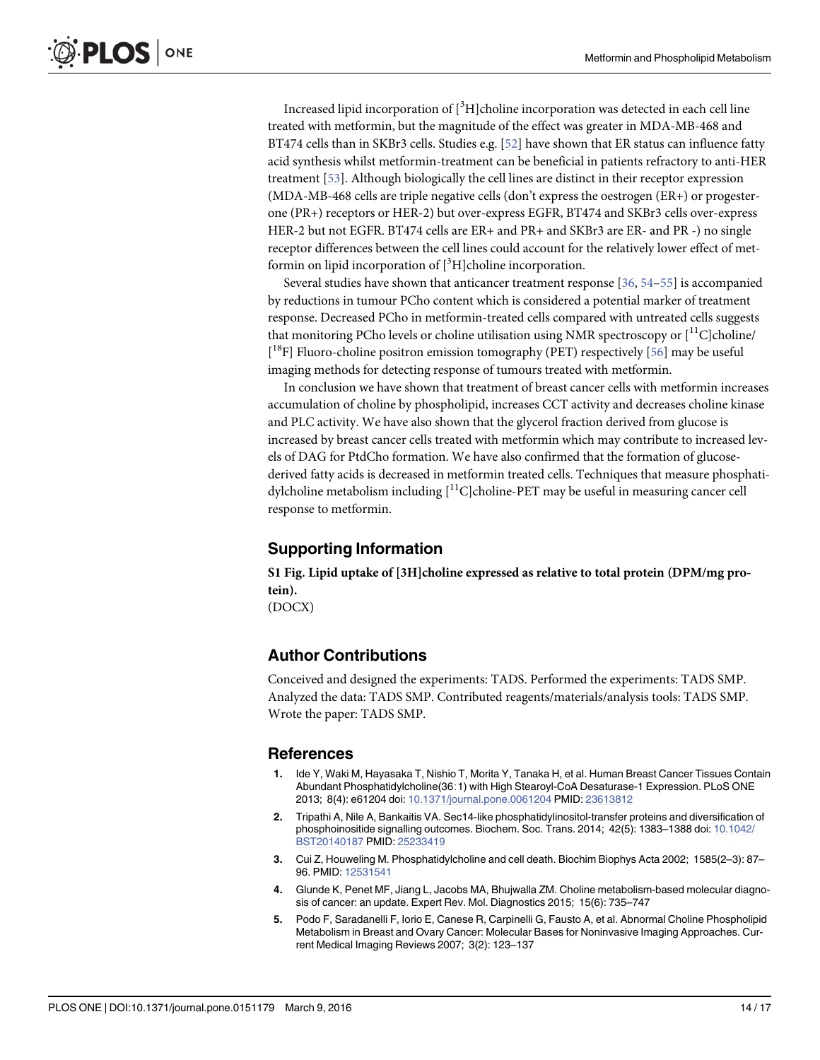<span id="page-13-0"></span>Increased lipid incorporation of  $[^3H]$ choline incorporation was detected in each cell line treated with metformin, but the magnitude of the effect was greater in MDA-MB-468 and BT474 cells than in SKBr3 cells. Studies e.g. [\[52\]](#page-16-0) have shown that ER status can influence fatty acid synthesis whilst metformin-treatment can be beneficial in patients refractory to anti-HER treatment [[53](#page-16-0)]. Although biologically the cell lines are distinct in their receptor expression (MDA-MB-468 cells are triple negative cells (don't express the oestrogen (ER+) or progesterone (PR+) receptors or HER-2) but over-express EGFR, BT474 and SKBr3 cells over-express HER-2 but not EGFR. BT474 cells are ER+ and PR+ and SKBr3 are ER- and PR -) no single receptor differences between the cell lines could account for the relatively lower effect of metformin on lipid incorporation of [<sup>3</sup>H]choline incorporation.

Several studies have shown that anticancer treatment response [\[36](#page-15-0), [54](#page-16-0)–[55\]](#page-16-0) is accompanied by reductions in tumour PCho content which is considered a potential marker of treatment response. Decreased PCho in metformin-treated cells compared with untreated cells suggests that monitoring PCho levels or choline utilisation using NMR spectroscopy or  $\binom{11}{1}$ c choline [<sup>18</sup>F] Fluoro-choline positron emission tomography (PET) respectively [[56\]](#page-16-0) may be useful imaging methods for detecting response of tumours treated with metformin.

In conclusion we have shown that treatment of breast cancer cells with metformin increases accumulation of choline by phospholipid, increases CCT activity and decreases choline kinase and PLC activity. We have also shown that the glycerol fraction derived from glucose is increased by breast cancer cells treated with metformin which may contribute to increased levels of DAG for PtdCho formation. We have also confirmed that the formation of glucosederived fatty acids is decreased in metformin treated cells. Techniques that measure phosphatidylcholine metabolism including  $\binom{11}{1}$ C]choline-PET may be useful in measuring cancer cell response to metformin.

### Supporting Information

[S1 Fig.](http://www.plosone.org/article/fetchSingleRepresentation.action?uri=info:doi/10.1371/journal.pone.0151179.s001) Lipid uptake of [3H]choline expressed as relative to total protein (DPM/mg protein). (DOCX)

### Author Contributions

Conceived and designed the experiments: TADS. Performed the experiments: TADS SMP. Analyzed the data: TADS SMP. Contributed reagents/materials/analysis tools: TADS SMP. Wrote the paper: TADS SMP.

#### References

- [1.](#page-1-0) Ide Y, Waki M, Hayasaka T, Nishio T, Morita Y, Tanaka H, et al. Human Breast Cancer Tissues Contain Abundant Phosphatidylcholine(36∶1) with High Stearoyl-CoA Desaturase-1 Expression. PLoS ONE 2013; 8(4): e61204 doi: [10.1371/journal.pone.0061204](http://dx.doi.org/10.1371/journal.pone.0061204) PMID: [23613812](http://www.ncbi.nlm.nih.gov/pubmed/23613812)
- [2.](#page-1-0) Tripathi A, Nile A, Bankaitis VA. Sec14-like phosphatidylinositol-transfer proteins and diversification of phosphoinositide signalling outcomes. Biochem. Soc. Trans. 2014; 42(5): 1383–1388 doi: [10.1042/](http://dx.doi.org/10.1042/BST20140187) [BST20140187](http://dx.doi.org/10.1042/BST20140187) PMID: [25233419](http://www.ncbi.nlm.nih.gov/pubmed/25233419)
- [3.](#page-1-0) Cui Z, Houweling M. Phosphatidylcholine and cell death. Biochim Biophys Acta 2002; 1585(2–3): 87– 96. PMID: [12531541](http://www.ncbi.nlm.nih.gov/pubmed/12531541)
- [4.](#page-1-0) Glunde K, Penet MF, Jiang L, Jacobs MA, Bhujwalla ZM. Choline metabolism-based molecular diagnosis of cancer: an update. Expert Rev. Mol. Diagnostics 2015; 15(6): 735–747
- [5.](#page-1-0) Podo F, Saradanelli F, Iorio E, Canese R, Carpinelli G, Fausto A, et al. Abnormal Choline Phospholipid Metabolism in Breast and Ovary Cancer: Molecular Bases for Noninvasive Imaging Approaches. Current Medical Imaging Reviews 2007; 3(2): 123–137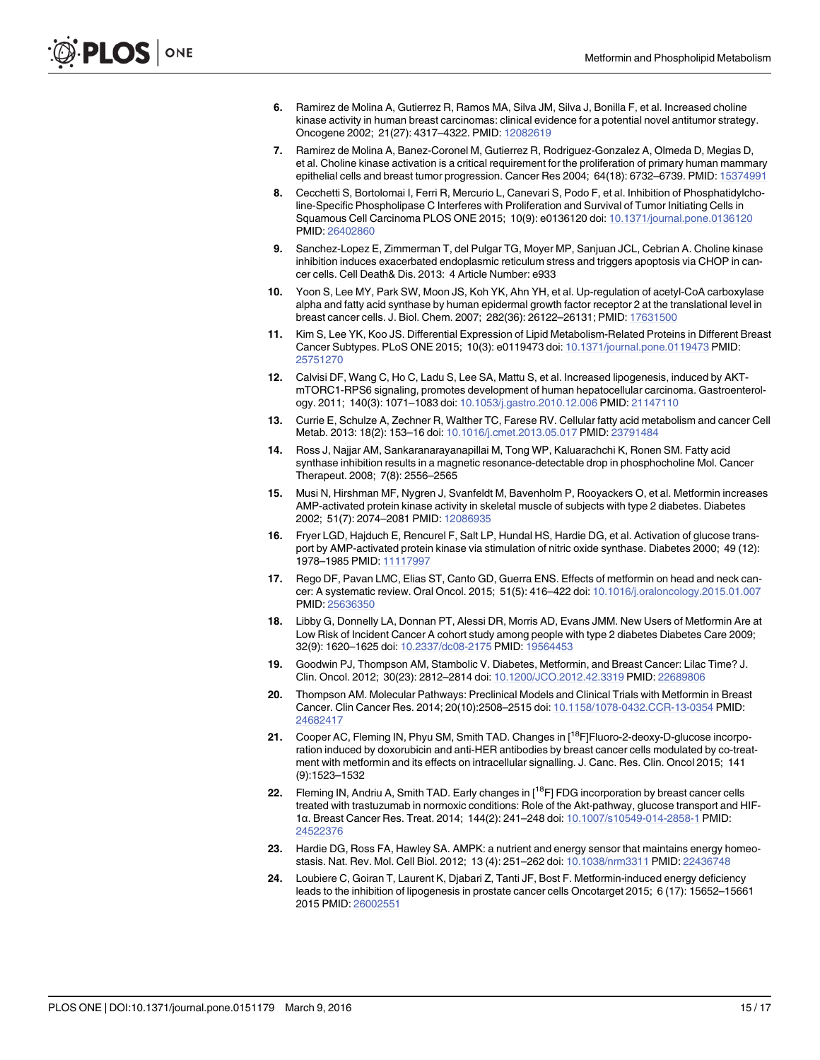- <span id="page-14-0"></span>[6.](#page-1-0) Ramirez de Molina A, Gutierrez R, Ramos MA, Silva JM, Silva J, Bonilla F, et al. Increased choline kinase activity in human breast carcinomas: clinical evidence for a potential novel antitumor strategy. Oncogene 2002; 21(27): 4317–4322. PMID: [12082619](http://www.ncbi.nlm.nih.gov/pubmed/12082619)
- [7.](#page-1-0) Ramirez de Molina A, Banez-Coronel M, Gutierrez R, Rodriguez-Gonzalez A, Olmeda D, Megias D, et al. Choline kinase activation is a critical requirement for the proliferation of primary human mammary epithelial cells and breast tumor progression. Cancer Res 2004; 64(18): 6732–6739. PMID: [15374991](http://www.ncbi.nlm.nih.gov/pubmed/15374991)
- [8.](#page-1-0) Cecchetti S, Bortolomai I, Ferri R, Mercurio L, Canevari S, Podo F, et al. Inhibition of Phosphatidylcholine-Specific Phospholipase C Interferes with Proliferation and Survival of Tumor Initiating Cells in Squamous Cell Carcinoma PLOS ONE 2015; 10(9): e0136120 doi: [10.1371/journal.pone.0136120](http://dx.doi.org/10.1371/journal.pone.0136120) PMID: [26402860](http://www.ncbi.nlm.nih.gov/pubmed/26402860)
- [9.](#page-1-0) Sanchez-Lopez E, Zimmerman T, del Pulgar TG, Moyer MP, Sanjuan JCL, Cebrian A. Choline kinase inhibition induces exacerbated endoplasmic reticulum stress and triggers apoptosis via CHOP in cancer cells. Cell Death& Dis. 2013: 4 Article Number: e933
- [10.](#page-1-0) Yoon S, Lee MY, Park SW, Moon JS, Koh YK, Ahn YH, et al. Up-regulation of acetyl-CoA carboxylase alpha and fatty acid synthase by human epidermal growth factor receptor 2 at the translational level in breast cancer cells. J. Biol. Chem. 2007; 282(36): 26122–26131; PMID: [17631500](http://www.ncbi.nlm.nih.gov/pubmed/17631500)
- [11.](#page-1-0) Kim S, Lee YK, Koo JS. Differential Expression of Lipid Metabolism-Related Proteins in Different Breast Cancer Subtypes. PLoS ONE 2015; 10(3): e0119473 doi: [10.1371/journal.pone.0119473](http://dx.doi.org/10.1371/journal.pone.0119473) PMID: [25751270](http://www.ncbi.nlm.nih.gov/pubmed/25751270)
- [12.](#page-1-0) Calvisi DF, Wang C, Ho C, Ladu S, Lee SA, Mattu S, et al. Increased lipogenesis, induced by AKTmTORC1-RPS6 signaling, promotes development of human hepatocellular carcinoma. Gastroenterology. 2011; 140(3): 1071–1083 doi: [10.1053/j.gastro.2010.12.006](http://dx.doi.org/10.1053/j.gastro.2010.12.006) PMID: [21147110](http://www.ncbi.nlm.nih.gov/pubmed/21147110)
- [13.](#page-1-0) Currie E, Schulze A, Zechner R, Walther TC, Farese RV. Cellular fatty acid metabolism and cancer Cell Metab. 2013: 18(2): 153–16 doi: [10.1016/j.cmet.2013.05.017](http://dx.doi.org/10.1016/j.cmet.2013.05.017) PMID: [23791484](http://www.ncbi.nlm.nih.gov/pubmed/23791484)
- [14.](#page-1-0) Ross J, Najjar AM, Sankaranarayanapillai M, Tong WP, Kaluarachchi K, Ronen SM. Fatty acid synthase inhibition results in a magnetic resonance-detectable drop in phosphocholine Mol. Cancer Therapeut. 2008; 7(8): 2556–2565
- [15.](#page-1-0) Musi N, Hirshman MF, Nygren J, Svanfeldt M, Bavenholm P, Rooyackers O, et al. Metformin increases AMP-activated protein kinase activity in skeletal muscle of subjects with type 2 diabetes. Diabetes 2002; 51(7): 2074–2081 PMID: [12086935](http://www.ncbi.nlm.nih.gov/pubmed/12086935)
- [16.](#page-1-0) Fryer LGD, Hajduch E, Rencurel F, Salt LP, Hundal HS, Hardie DG, et al. Activation of glucose transport by AMP-activated protein kinase via stimulation of nitric oxide synthase. Diabetes 2000; 49 (12): 1978–1985 PMID: [11117997](http://www.ncbi.nlm.nih.gov/pubmed/11117997)
- [17.](#page-1-0) Rego DF, Pavan LMC, Elias ST, Canto GD, Guerra ENS. Effects of metformin on head and neck cancer: A systematic review. Oral Oncol. 2015; 51(5): 416–422 doi: [10.1016/j.oraloncology.2015.01.007](http://dx.doi.org/10.1016/j.oraloncology.2015.01.007) PMID: [25636350](http://www.ncbi.nlm.nih.gov/pubmed/25636350)
- [18.](#page-1-0) Libby G, Donnelly LA, Donnan PT, Alessi DR, Morris AD, Evans JMM. New Users of Metformin Are at Low Risk of Incident Cancer A cohort study among people with type 2 diabetes Diabetes Care 2009; 32(9): 1620–1625 doi: [10.2337/dc08-2175](http://dx.doi.org/10.2337/dc08-2175) PMID: [19564453](http://www.ncbi.nlm.nih.gov/pubmed/19564453)
- [19.](#page-1-0) Goodwin PJ, Thompson AM, Stambolic V. Diabetes, Metformin, and Breast Cancer: Lilac Time? J. Clin. Oncol. 2012; 30(23): 2812–2814 doi: [10.1200/JCO.2012.42.3319](http://dx.doi.org/10.1200/JCO.2012.42.3319) PMID: [22689806](http://www.ncbi.nlm.nih.gov/pubmed/22689806)
- [20.](#page-1-0) Thompson AM. Molecular Pathways: Preclinical Models and Clinical Trials with Metformin in Breast Cancer. Clin Cancer Res. 2014; 20(10):2508–2515 doi: [10.1158/1078-0432.CCR-13-0354](http://dx.doi.org/10.1158/1078-0432.CCR-13-0354) PMID: [24682417](http://www.ncbi.nlm.nih.gov/pubmed/24682417)
- [21.](#page-1-0) Cooper AC, Fleming IN, Phyu SM, Smith TAD. Changes in [<sup>18</sup>F]Fluoro-2-deoxy-D-glucose incorporation induced by doxorubicin and anti-HER antibodies by breast cancer cells modulated by co-treatment with metformin and its effects on intracellular signalling. J. Canc. Res. Clin. Oncol 2015; 141 (9):1523–1532
- [22.](#page-1-0) Fleming IN, Andriu A, Smith TAD. Early changes in [<sup>18</sup>F] FDG incorporation by breast cancer cells treated with trastuzumab in normoxic conditions: Role of the Akt-pathway, glucose transport and HIF-1α. Breast Cancer Res. Treat. 2014; 144(2): 241–248 doi: [10.1007/s10549-014-2858-1](http://dx.doi.org/10.1007/s10549-014-2858-1) PMID: [24522376](http://www.ncbi.nlm.nih.gov/pubmed/24522376)
- [23.](#page-1-0) Hardie DG, Ross FA, Hawley SA. AMPK: a nutrient and energy sensor that maintains energy homeostasis. Nat. Rev. Mol. Cell Biol. 2012; 13 (4): 251–262 doi: [10.1038/nrm3311](http://dx.doi.org/10.1038/nrm3311) PMID: [22436748](http://www.ncbi.nlm.nih.gov/pubmed/22436748)
- [24.](#page-1-0) Loubiere C, Goiran T, Laurent K, Djabari Z, Tanti JF, Bost F. Metformin-induced energy deficiency leads to the inhibition of lipogenesis in prostate cancer cells Oncotarget 2015; 6 (17): 15652–15661 2015 PMID: [26002551](http://www.ncbi.nlm.nih.gov/pubmed/26002551)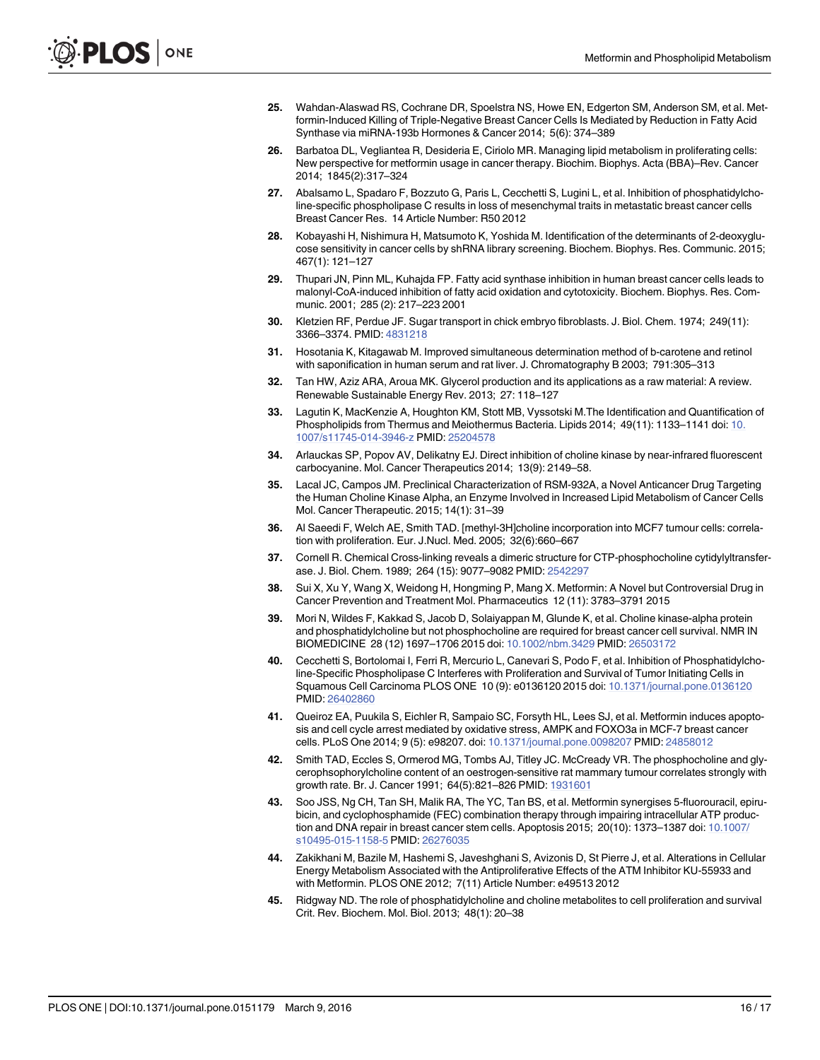- <span id="page-15-0"></span>[25.](#page-1-0) Wahdan-Alaswad RS, Cochrane DR, Spoelstra NS, Howe EN, Edgerton SM, Anderson SM, et al. Metformin-Induced Killing of Triple-Negative Breast Cancer Cells Is Mediated by Reduction in Fatty Acid Synthase via miRNA-193b Hormones & Cancer 2014; 5(6): 374–389
- [26.](#page-1-0) Barbatoa DL, Vegliantea R, Desideria E, Ciriolo MR. Managing lipid metabolism in proliferating cells: New perspective for metformin usage in cancer therapy. Biochim. Biophys. Acta (BBA)–Rev. Cancer 2014; 1845(2):317–324
- [27.](#page-1-0) Abalsamo L, Spadaro F, Bozzuto G, Paris L, Cecchetti S, Lugini L, et al. Inhibition of phosphatidylcholine-specific phospholipase C results in loss of mesenchymal traits in metastatic breast cancer cells Breast Cancer Res. 14 Article Number: R50 2012
- [28.](#page-1-0) Kobayashi H, Nishimura H, Matsumoto K, Yoshida M. Identification of the determinants of 2-deoxyglucose sensitivity in cancer cells by shRNA library screening. Biochem. Biophys. Res. Communic. 2015; 467(1): 121–127
- [29.](#page-1-0) Thupari JN, Pinn ML, Kuhajda FP. Fatty acid synthase inhibition in human breast cancer cells leads to malonyl-CoA-induced inhibition of fatty acid oxidation and cytotoxicity. Biochem. Biophys. Res. Communic. 2001; 285 (2): 217–223 2001
- [30.](#page-2-0) Kletzien RF, Perdue JF. Sugar transport in chick embryo fibroblasts. J. Biol. Chem. 1974; 249(11): 3366–3374. PMID: [4831218](http://www.ncbi.nlm.nih.gov/pubmed/4831218)
- [31.](#page-3-0) Hosotania K, Kitagawab M. Improved simultaneous determination method of b-carotene and retinol with saponification in human serum and rat liver. J. Chromatography B 2003; 791:305–313
- [32.](#page-3-0) Tan HW, Aziz ARA, Aroua MK. Glycerol production and its applications as a raw material: A review. Renewable Sustainable Energy Rev. 2013; 27: 118–127
- [33.](#page-3-0) Lagutin K, MacKenzie A, Houghton KM, Stott MB, Vyssotski M.The Identification and Quantification of Phospholipids from Thermus and Meiothermus Bacteria. Lipids 2014; 49(11): 1133–1141 doi: [10.](http://dx.doi.org/10.1007/s11745-014-3946-z) [1007/s11745-014-3946-z](http://dx.doi.org/10.1007/s11745-014-3946-z) PMID: [25204578](http://www.ncbi.nlm.nih.gov/pubmed/25204578)
- [34.](#page-3-0) Arlauckas SP, Popov AV, Delikatny EJ. Direct inhibition of choline kinase by near-infrared fluorescent carbocyanine. Mol. Cancer Therapeutics 2014; 13(9): 2149–58.
- [35.](#page-3-0) Lacal JC, Campos JM. Preclinical Characterization of RSM-932A, a Novel Anticancer Drug Targeting the Human Choline Kinase Alpha, an Enzyme Involved in Increased Lipid Metabolism of Cancer Cells Mol. Cancer Therapeutic. 2015; 14(1): 31–39
- [36.](#page-4-0) Al Saeedi F, Welch AE, Smith TAD. [methyl-3H]choline incorporation into MCF7 tumour cells: correlation with proliferation. Eur. J.Nucl. Med. 2005; 32(6):660–667
- [37.](#page-4-0) Cornell R. Chemical Cross-linking reveals a dimeric structure for CTP-phosphocholine cytidylyltransferase. J. Biol. Chem. 1989; 264 (15): 9077–9082 PMID: [2542297](http://www.ncbi.nlm.nih.gov/pubmed/2542297)
- [38.](#page-9-0) Sui X, Xu Y, Wang X, Weidong H, Hongming P, Mang X. Metformin: A Novel but Controversial Drug in Cancer Prevention and Treatment Mol. Pharmaceutics 12 (11): 3783–3791 2015
- [39.](#page-9-0) Mori N, Wildes F, Kakkad S, Jacob D, Solaiyappan M, Glunde K, et al. Choline kinase-alpha protein and phosphatidylcholine but not phosphocholine are required for breast cancer cell survival. NMR IN BIOMEDICINE 28 (12) 1697–1706 2015 doi: [10.1002/nbm.3429](http://dx.doi.org/10.1002/nbm.3429) PMID: [26503172](http://www.ncbi.nlm.nih.gov/pubmed/26503172)
- [40.](#page-9-0) Cecchetti S, Bortolomai I, Ferri R, Mercurio L, Canevari S, Podo F, et al. Inhibition of Phosphatidylcholine-Specific Phospholipase C Interferes with Proliferation and Survival of Tumor Initiating Cells in Squamous Cell Carcinoma PLOS ONE 10 (9): e0136120 2015 doi: [10.1371/journal.pone.0136120](http://dx.doi.org/10.1371/journal.pone.0136120) PMID: [26402860](http://www.ncbi.nlm.nih.gov/pubmed/26402860)
- [41.](#page-9-0) Queiroz EA, Puukila S, Eichler R, Sampaio SC, Forsyth HL, Lees SJ, et al. Metformin induces apoptosis and cell cycle arrest mediated by oxidative stress, AMPK and FOXO3a in MCF-7 breast cancer cells. PLoS One 2014; 9 (5): e98207. doi: [10.1371/journal.pone.0098207](http://dx.doi.org/10.1371/journal.pone.0098207) PMID: [24858012](http://www.ncbi.nlm.nih.gov/pubmed/24858012)
- [42.](#page-10-0) Smith TAD, Eccles S, Ormerod MG, Tombs AJ, Titley JC. McCready VR. The phosphocholine and glycerophsophorylcholine content of an oestrogen-sensitive rat mammary tumour correlates strongly with growth rate. Br. J. Cancer 1991; 64(5):821-826 PMID: [1931601](http://www.ncbi.nlm.nih.gov/pubmed/1931601)
- [43.](#page-10-0) Soo JSS, Ng CH, Tan SH, Malik RA, The YC, Tan BS, et al. Metformin synergises 5-fluorouracil, epirubicin, and cyclophosphamide (FEC) combination therapy through impairing intracellular ATP produc-tion and DNA repair in breast cancer stem cells. Apoptosis 2015; 20(10): 1373-1387 doi: [10.1007/](http://dx.doi.org/10.1007/s10495-015-1158-5) [s10495-015-1158-5](http://dx.doi.org/10.1007/s10495-015-1158-5) PMID: [26276035](http://www.ncbi.nlm.nih.gov/pubmed/26276035)
- [44.](#page-10-0) Zakikhani M, Bazile M, Hashemi S, Javeshghani S, Avizonis D, St Pierre J, et al. Alterations in Cellular Energy Metabolism Associated with the Antiproliferative Effects of the ATM Inhibitor KU-55933 and with Metformin. PLOS ONE 2012; 7(11) Article Number: e49513 2012
- [45.](#page-11-0) Ridgway ND. The role of phosphatidylcholine and choline metabolites to cell proliferation and survival Crit. Rev. Biochem. Mol. Biol. 2013; 48(1): 20–38